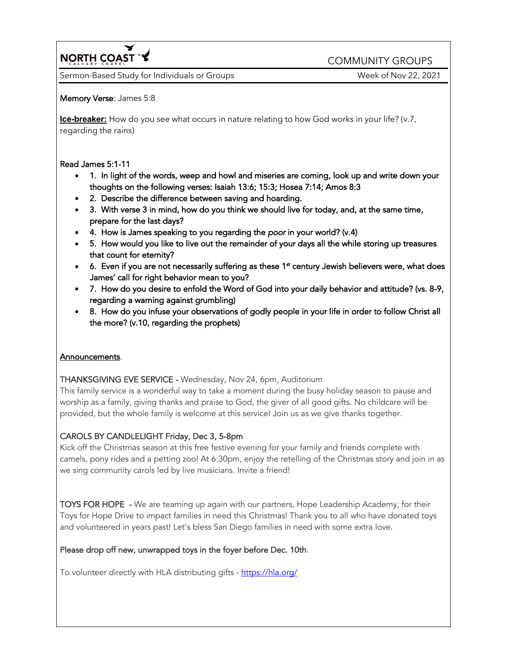**NORTH COAST Y** COMMUNITY GROUPS

Sermon-Based Study for Individuals or Groups Music Communication Control Communication Week of Nov 22, 2021

### Memory Verse: James 5:8

**Ice-breaker:** How do you see what occurs in nature relating to how God works in your life? (v.7, regarding the rains)

### Read James 5:1-11

- 1. In light of the words, weep and howl and miseries are coming, look up and write down your thoughts on the following verses: Isaiah 13:6; 15:3; Hosea 7:14; Amos 8:3
- 2. Describe the difference between saving and hoarding.
- 3. With verse 3 in mind, how do you think we should live for today, and, at the same time, prepare for the last days?
- 4. How is James speaking to you regarding the *poor* in your world? (v.4)
- 5. How would you like to live out the remainder of your days all the while storing up treasures that count for eternity?
- $\bullet$  6. Even if you are not necessarily suffering as these 1<sup>st</sup> century Jewish believers were, what does James' call for right behavior mean to you?
- 7. How do you desire to enfold the Word of God into your daily behavior and attitude? (vs. 8-9, regarding a warning against grumbling)
- 8. How do you infuse your observations of godly people in your life in order to follow Christ all the more? (v.10, regarding the prophets)

# Announcements.

THANKSGIVING EVE SERVICE - Wednesday, Nov 24, 6pm, Auditorium

This family service is a wonderful way to take a moment during the busy holiday season to pause and worship as a family, giving thanks and praise to God, the giver of all good gifts. No childcare will be provided, but the whole family is welcome at this service! Join us as we give thanks together.

# CAROLS BY CANDLELIGHT Friday, Dec 3, 5-8pm

Kick off the Christmas season at this free festive evening for your family and friends complete with camels, pony rides and a petting zoo! At 6:30pm, enjoy the retelling of the Christmas story and join in as we sing community carols led by live musicians. Invite a friend!

TOYS FOR HOPE - We are teaming up again with our partners, Hope Leadership Academy, for their Toys for Hope Drive to impact families in need this Christmas! Thank you to all who have donated toys and volunteered in years past! Let's bless San Diego families in need with some extra love.

# Please drop off new, unwrapped toys in the foyer before Dec. 10th.

To volunteer directly with HLA distributing gifts - https://hla.org/